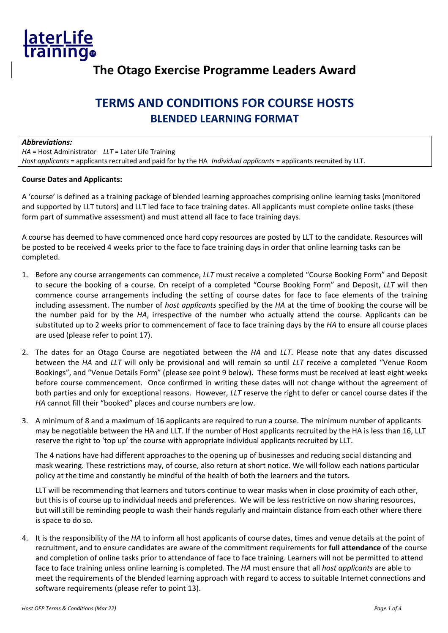

## **The Otago Exercise Programme Leaders Award**

# **TERMS AND CONDITIONS FOR COURSE HOSTS BLENDED LEARNING FORMAT**

#### *Abbreviations:*

*HA* = Host Administrator *LLT* = Later Life Training *Host applicants* = applicants recruited and paid for by the HA *Individual applicants* = applicants recruited by LLT.

#### **Course Dates and Applicants:**

A 'course' is defined as a training package of blended learning approaches comprising online learning tasks (monitored and supported by LLT tutors) and LLT led face to face training dates. All applicants must complete online tasks (these form part of summative assessment) and must attend all face to face training days.

A course has deemed to have commenced once hard copy resources are posted by LLT to the candidate. Resources will be posted to be received 4 weeks prior to the face to face training days in order that online learning tasks can be completed.

- 1. Before any course arrangements can commence, *LLT* must receive a completed "Course Booking Form" and Deposit to secure the booking of a course. On receipt of a completed "Course Booking Form" and Deposit, *LLT* will then commence course arrangements including the setting of course dates for face to face elements of the training including assessment. The number of *host applicants* specified by the *HA* at the time of booking the course will be the number paid for by the *HA*, irrespective of the number who actually attend the course. Applicants can be substituted up to 2 weeks prior to commencement of face to face training days by the *HA* to ensure all course places are used (please refer to point 17).
- 2. The dates for an Otago Course are negotiated between the *HA* and *LLT*. Please note that any dates discussed between the *HA* and *LLT* will only be provisional and will remain so until *LLT* receive a completed "Venue Room Bookings", and "Venue Details Form" (please see point 9 below). These forms must be received at least eight weeks before course commencement. Once confirmed in writing these dates will not change without the agreement of both parties and only for exceptional reasons. However, *LLT* reserve the right to defer or cancel course dates if the *HA* cannot fill their "booked" places and course numbers are low.
- 3. A minimum of 8 and a maximum of 16 applicants are required to run a course. The minimum number of applicants may be negotiable between the HA and LLT. If the number of Host applicants recruited by the HA is less than 16, LLT reserve the right to 'top up' the course with appropriate individual applicants recruited by LLT.

The 4 nations have had different approaches to the opening up of businesses and reducing social distancing and mask wearing. These restrictions may, of course, also return at short notice. We will follow each nations particular policy at the time and constantly be mindful of the health of both the learners and the tutors.

LLT will be recommending that learners and tutors continue to wear masks when in close proximity of each other, but this is of course up to individual needs and preferences. We will be less restrictive on now sharing resources, but will still be reminding people to wash their hands regularly and maintain distance from each other where there is space to do so.

4. It is the responsibility of the *HA* to inform all host applicants of course dates, times and venue details at the point of recruitment, and to ensure candidates are aware of the commitment requirements for **full attendance** of the course and completion of online tasks prior to attendance of face to face training. Learners will not be permitted to attend face to face training unless online learning is completed. The *HA* must ensure that all *host applicants* are able to meet the requirements of the blended learning approach with regard to access to suitable Internet connections and software requirements (please refer to point 13).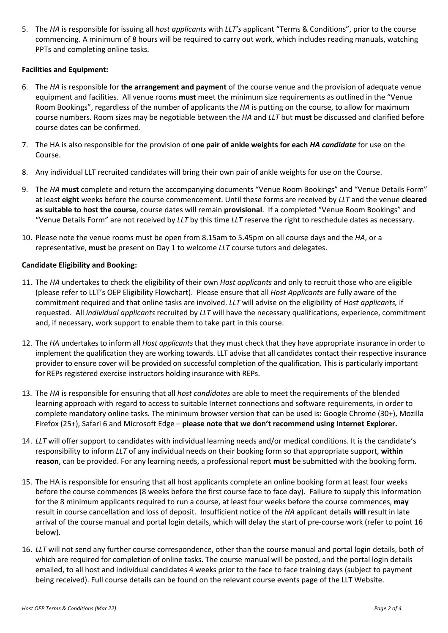5. The *HA* is responsible for issuing all *host applicants* with *LLT's* applicant "Terms & Conditions", prior to the course commencing. A minimum of 8 hours will be required to carry out work, which includes reading manuals, watching PPTs and completing online tasks.

### **Facilities and Equipment:**

- 6. The *HA* is responsible for **the arrangement and payment** of the course venue and the provision of adequate venue equipment and facilities. All venue rooms **must** meet the minimum size requirements as outlined in the "Venue Room Bookings", regardless of the number of applicants the *HA* is putting on the course, to allow for maximum course numbers. Room sizes may be negotiable between the *HA* and *LLT* but **must** be discussed and clarified before course dates can be confirmed.
- 7. The HA is also responsible for the provision of **one pair of ankle weights for each** *HA candidate* for use on the Course.
- 8. Any individual LLT recruited candidates will bring their own pair of ankle weights for use on the Course.
- 9. The *HA* **must** complete and return the accompanying documents "Venue Room Bookings" and "Venue Details Form" at least **eight** weeks before the course commencement. Until these forms are received by *LLT* and the venue **cleared as suitable to host the course**, course dates will remain **provisional**. If a completed "Venue Room Bookings" and "Venue Details Form" are not received by *LLT* by this time *LLT* reserve the right to reschedule dates as necessary.
- 10. Please note the venue rooms must be open from 8.15am to 5.45pm on all course days and the *HA*, or a representative, **must** be present on Day 1 to welcome *LLT* course tutors and delegates.

#### **Candidate Eligibility and Booking:**

- 11. The *HA* undertakes to check the eligibility of their own *Host applicants* and only to recruit those who are eligible (please refer to LLT's OEP Eligibility Flowchart). Please ensure that all *Host Applicants* are fully aware of the commitment required and that online tasks are involved. *LLT* will advise on the eligibility of *Host applicants,* if requested. All *individual applicants* recruited by *LLT* will have the necessary qualifications, experience, commitment and, if necessary, work support to enable them to take part in this course.
- 12. The *HA* undertakes to inform all *Host applicants* that they must check that they have appropriate insurance in order to implement the qualification they are working towards. LLT advise that all candidates contact their respective insurance provider to ensure cover will be provided on successful completion of the qualification. This is particularly important for REPs registered exercise instructors holding insurance with REPs.
- 13. The *HA* is responsible for ensuring that all *host candidates* are able to meet the requirements of the blended learning approach with regard to access to suitable Internet connections and software requirements, in order to complete mandatory online tasks. The minimum browser version that can be used is: Google Chrome (30+), Mozilla Firefox (25+), Safari 6 and Microsoft Edge – **please note that we don't recommend using Internet Explorer.**
- 14. *LLT* will offer support to candidates with individual learning needs and/or medical conditions. It is the candidate's responsibility to inform *LLT* of any individual needs on their booking form so that appropriate support, **within reason**, can be provided. For any learning needs, a professional report **must** be submitted with the booking form.
- 15. The HA is responsible for ensuring that all host applicants complete an online booking form at least four weeks before the course commences (8 weeks before the first course face to face day). Failure to supply this information for the 8 minimum applicants required to run a course, at least four weeks before the course commences, **may** result in course cancellation and loss of deposit. Insufficient notice of the *HA* applicant details **will** result in late arrival of the course manual and portal login details, which will delay the start of pre-course work (refer to point 16 below).
- 16. *LLT* will not send any further course correspondence, other than the course manual and portal login details, both of which are required for completion of online tasks. The course manual will be posted, and the portal login details emailed, to all host and individual candidates 4 weeks prior to the face to face training days (subject to payment being received). Full course details can be found on the relevant course events page of the LLT Website.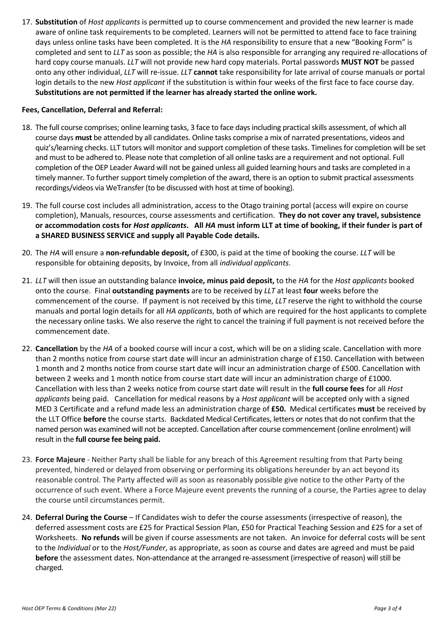17. **Substitution** of *Host applicants* is permitted up to course commencement and provided the new learner is made aware of online task requirements to be completed. Learners will not be permitted to attend face to face training days unless online tasks have been completed. It is the *HA* responsibility to ensure that a new "Booking Form" is completed and sent to *LLT* as soon as possible; the *HA* is also responsible for arranging any required re-allocations of hard copy course manuals. *LLT* will not provide new hard copy materials. Portal passwords **MUST NOT** be passed onto any other individual, *LLT* will re-issue. *LLT* **cannot** take responsibility for late arrival of course manuals or portal login details to the new *Host applicant* if the substitution is within four weeks of the first face to face course day. **Substitutions are not permitted if the learner has already started the online work.**

#### **Fees, Cancellation, Deferral and Referral:**

- 18. The full course comprises; online learning tasks, 3 face to face days including practical skills assessment, of which all course days **must** be attended by all candidates. Online tasks comprise a mix of narrated presentations, videos and quiz's/learning checks. LLT tutors will monitor and support completion of these tasks. Timelines for completion will be set and must to be adhered to. Please note that completion of all online tasks are a requirement and not optional. Full completion of the OEP Leader Award will not be gained unless all guided learning hours and tasks are completed in a timely manner. To further support timely completion of the award, there is an option to submit practical assessments recordings/videos via WeTransfer (to be discussed with host at time of booking).
- 19. The full course cost includes all administration, access to the Otago training portal (access will expire on course completion), Manuals, resources, course assessments and certification. **They do not cover any travel, subsistence or accommodation costs for** *Host applicants***. All** *HA* **must inform LLT at time of booking, if their funder is part of a SHARED BUSINESS SERVICE and supply all Payable Code details.**
- 20. The *HA* will ensure a **non-refundable deposit,** of £300, is paid at the time of booking the course. *LLT* will be responsible for obtaining deposits, by Invoice, from all *individual applicants*.
- 21. *LLT* will then issue an outstanding balance **invoice, minus paid deposit,** to the *HA* for the *Host applicants* booked onto the course. Final **outstanding payments** are to be received by *LLT* at least **four** weeks before the commencement of the course. If payment is not received by this time, *LLT* reserve the right to withhold the course manuals and portal login details for all *HA applicants*, both of which are required for the host applicants to complete the necessary online tasks. We also reserve the right to cancel the training if full payment is not received before the commencement date.
- 22. **Cancellation** by the *HA* of a booked course will incur a cost, which will be on a sliding scale. Cancellation with more than 2 months notice from course start date will incur an administration charge of £150. Cancellation with between 1 month and 2 months notice from course start date will incur an administration charge of £500. Cancellation with between 2 weeks and 1 month notice from course start date will incur an administration charge of £1000. Cancellation with less than 2 weeks notice from course start date will result in the **full course fees** for all *Host applicants* being paid. Cancellation for medical reasons by a *Host applicant* will be accepted only with a signed MED 3 Certificate and a refund made less an administration charge of **£50.** Medical certificates **must** be received by the LLT Office **before** the course starts. Backdated Medical Certificates, letters or notes that do not confirm that the named person was examined will not be accepted. Cancellation after course commencement (online enrolment) will result in the **full course fee being paid.**
- 23. **Force Majeure** Neither Party shall be liable for any breach of this Agreement resulting from that Party being prevented, hindered or delayed from observing or performing its obligations hereunder by an act beyond its reasonable control. The Party affected will as soon as reasonably possible give notice to the other Party of the occurrence of such event. Where a Force Majeure event prevents the running of a course, the Parties agree to delay the course until circumstances permit.
- 24. **Deferral During the Course** If Candidates wish to defer the course assessments (irrespective of reason), the deferred assessment costs are £25 for Practical Session Plan, £50 for Practical Teaching Session and £25 for a set of Worksheets. **No refunds** will be given if course assessments are not taken. An invoice for deferral costs will be sent to the *Individual* or to the *Host/Funder*, as appropriate, as soon as course and dates are agreed and must be paid **before** the assessment dates. Non-attendance at the arranged re-assessment (irrespective of reason) will still be charged.